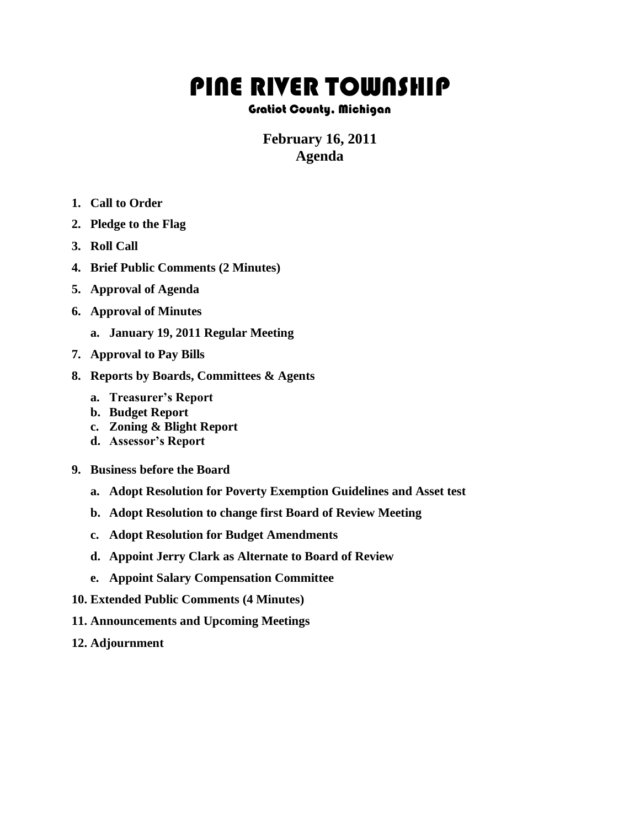## PINE RIVER TOWNSHIP

## Gratiot County, Michigan

## **February 16, 2011 Agenda**

- **1. Call to Order**
- **2. Pledge to the Flag**
- **3. Roll Call**
- **4. Brief Public Comments (2 Minutes)**
- **5. Approval of Agenda**
- **6. Approval of Minutes**
	- **a. January 19, 2011 Regular Meeting**
- **7. Approval to Pay Bills**
- **8. Reports by Boards, Committees & Agents**
	- **a. Treasurer's Report**
	- **b. Budget Report**
	- **c. Zoning & Blight Report**
	- **d. Assessor's Report**
- **9. Business before the Board**
	- **a. Adopt Resolution for Poverty Exemption Guidelines and Asset test**
	- **b. Adopt Resolution to change first Board of Review Meeting**
	- **c. Adopt Resolution for Budget Amendments**
	- **d. Appoint Jerry Clark as Alternate to Board of Review**
	- **e. Appoint Salary Compensation Committee**
- **10. Extended Public Comments (4 Minutes)**
- **11. Announcements and Upcoming Meetings**
- **12. Adjournment**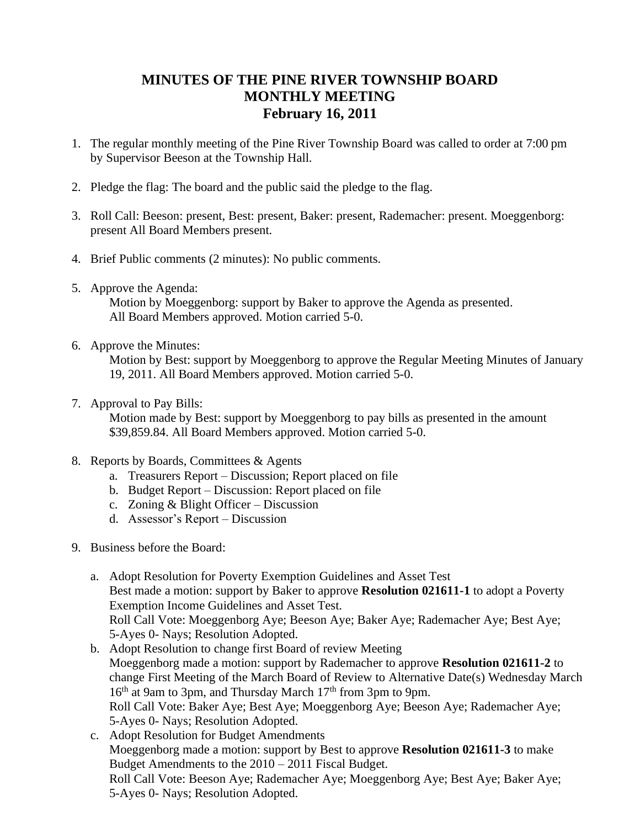## **MINUTES OF THE PINE RIVER TOWNSHIP BOARD MONTHLY MEETING February 16, 2011**

- 1. The regular monthly meeting of the Pine River Township Board was called to order at 7:00 pm by Supervisor Beeson at the Township Hall.
- 2. Pledge the flag: The board and the public said the pledge to the flag.
- 3. Roll Call: Beeson: present, Best: present, Baker: present, Rademacher: present. Moeggenborg: present All Board Members present.
- 4. Brief Public comments (2 minutes): No public comments.
- 5. Approve the Agenda:

Motion by Moeggenborg: support by Baker to approve the Agenda as presented. All Board Members approved. Motion carried 5-0.

6. Approve the Minutes:

Motion by Best: support by Moeggenborg to approve the Regular Meeting Minutes of January 19, 2011. All Board Members approved. Motion carried 5-0.

7. Approval to Pay Bills:

 Motion made by Best: support by Moeggenborg to pay bills as presented in the amount \$39,859.84. All Board Members approved. Motion carried 5-0.

- 8. Reports by Boards, Committees & Agents
	- a. Treasurers Report Discussion; Report placed on file
	- b. Budget Report Discussion: Report placed on file
	- c. Zoning & Blight Officer Discussion
	- d. Assessor's Report Discussion
- 9. Business before the Board:
	- a. Adopt Resolution for Poverty Exemption Guidelines and Asset Test Best made a motion: support by Baker to approve **Resolution 021611-1** to adopt a Poverty Exemption Income Guidelines and Asset Test. Roll Call Vote: Moeggenborg Aye; Beeson Aye; Baker Aye; Rademacher Aye; Best Aye; 5-Ayes 0- Nays; Resolution Adopted.
	- b. Adopt Resolution to change first Board of review Meeting Moeggenborg made a motion: support by Rademacher to approve **Resolution 021611-2** to change First Meeting of the March Board of Review to Alternative Date(s) Wednesday March 16<sup>th</sup> at 9am to 3pm, and Thursday March 17<sup>th</sup> from 3pm to 9pm. Roll Call Vote: Baker Aye; Best Aye; Moeggenborg Aye; Beeson Aye; Rademacher Aye; 5-Ayes 0- Nays; Resolution Adopted.

c. Adopt Resolution for Budget Amendments Moeggenborg made a motion: support by Best to approve **Resolution 021611-3** to make Budget Amendments to the 2010 – 2011 Fiscal Budget. Roll Call Vote: Beeson Aye; Rademacher Aye; Moeggenborg Aye; Best Aye; Baker Aye; 5-Ayes 0- Nays; Resolution Adopted.